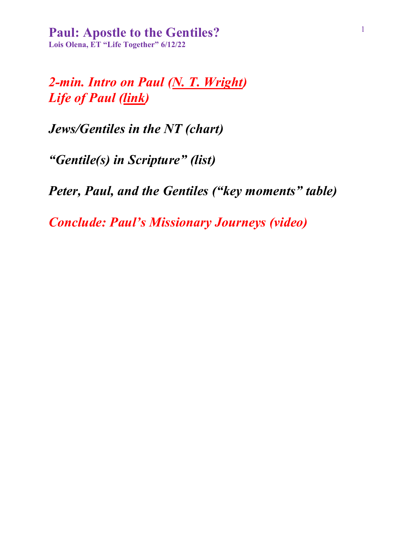*2-min. Intro on Paul (N. T. Wright) Life of Paul (link)*

*Jews/Gentiles in the NT (chart)*

*"Gentile(s) in Scripture" (list)*

*Peter, Paul, and the Gentiles ("key moments" table)*

*Conclude: Paul's Missionary Journeys (video)*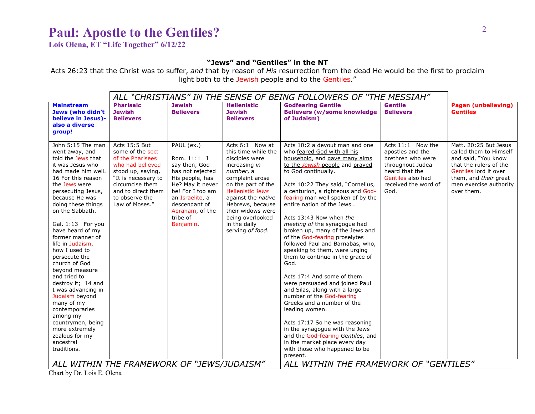**Lois Olena, ET "Life Together" 6/12/22**

### **"Jews" and "Gentiles" in the NT**

Acts 26:23 that the Christ was to suffer, *and* that by reason of *His* resurrection from the dead He would be the first to proclaim light both to the Jewish people and to the Gentiles."

|                                                                                                                                                                                                                                                                                                                                                                                                                                                                                                                                                                                                  | ALL "CHRISTIANS" IN THE SENSE OF BEING FOLLOWERS OF "THE MESSIAH"                                                                                                                                  |                                                                                                                                                                                                                 |                                                                                                                                                                                                                                                                                   |                                                                                                                                                                                                                                                                                                                                                                                                                                                                                                                                                                                                                                                                                                                                                                                                                                                                                                                           |                                                                                                                                                       |                                                                                                                                                                                            |
|--------------------------------------------------------------------------------------------------------------------------------------------------------------------------------------------------------------------------------------------------------------------------------------------------------------------------------------------------------------------------------------------------------------------------------------------------------------------------------------------------------------------------------------------------------------------------------------------------|----------------------------------------------------------------------------------------------------------------------------------------------------------------------------------------------------|-----------------------------------------------------------------------------------------------------------------------------------------------------------------------------------------------------------------|-----------------------------------------------------------------------------------------------------------------------------------------------------------------------------------------------------------------------------------------------------------------------------------|---------------------------------------------------------------------------------------------------------------------------------------------------------------------------------------------------------------------------------------------------------------------------------------------------------------------------------------------------------------------------------------------------------------------------------------------------------------------------------------------------------------------------------------------------------------------------------------------------------------------------------------------------------------------------------------------------------------------------------------------------------------------------------------------------------------------------------------------------------------------------------------------------------------------------|-------------------------------------------------------------------------------------------------------------------------------------------------------|--------------------------------------------------------------------------------------------------------------------------------------------------------------------------------------------|
| <b>Mainstream</b><br>Jews (who didn't<br>believe in Jesus)-<br>also a diverse<br>group!                                                                                                                                                                                                                                                                                                                                                                                                                                                                                                          | <b>Pharisaic</b><br><b>Jewish</b><br><b>Believers</b>                                                                                                                                              | <b>Jewish</b><br><b>Believers</b>                                                                                                                                                                               | <b>Hellenistic</b><br><b>Jewish</b><br><b>Believers</b>                                                                                                                                                                                                                           | <b>Godfearing Gentile</b><br><b>Believers (w/some knowledge)</b><br>of Judaism)                                                                                                                                                                                                                                                                                                                                                                                                                                                                                                                                                                                                                                                                                                                                                                                                                                           | <b>Gentile</b><br><b>Believers</b>                                                                                                                    | <b>Pagan (unbelieving)</b><br><b>Gentiles</b>                                                                                                                                              |
| John 5:15 The man<br>went away, and<br>told the Jews that<br>it was Jesus who<br>had made him well.<br>16 For this reason<br>the Jews were<br>persecuting Jesus,<br>because He was<br>doing these things<br>on the Sabbath.<br>Gal. 1:13 For you<br>have heard of my<br>former manner of<br>life in Judaism,<br>how I used to<br>persecute the<br>church of God<br>beyond measure<br>and tried to<br>destroy it; 14 and<br>I was advancing in<br>Judaism beyond<br>many of my<br>contemporaries<br>among my<br>countrymen, being<br>more extremely<br>zealous for my<br>ancestral<br>traditions. | Acts 15:5 But<br>some of the sect<br>of the Pharisees<br>who had believed<br>stood up, saying,<br>"It is necessary to<br>circumcise them<br>and to direct them<br>to observe the<br>Law of Moses." | PAUL (ex.)<br>Rom. 11:1 I<br>say then, God<br>has not rejected<br>His people, has<br>He? May it never<br>be! For I too am<br>an Israelite, a<br>descendant of<br>Abraham, of the<br>tribe of<br><b>Benjamin</b> | Acts 6:1 Now at<br>this time while the<br>disciples were<br>increasing in<br>number, a<br>complaint arose<br>on the part of the<br><b>Hellenistic Jews</b><br>against the native<br>Hebrews, because<br>their widows were<br>being overlooked<br>in the daily<br>serving of food. | Acts 10:2 a devout man and one<br>who feared God with all his<br>household, and gave many alms<br>to the Jewish people and prayed<br>to God continually.<br>Acts 10:22 They said, "Cornelius,<br>a centurion, a righteous and God-<br>fearing man well spoken of by the<br>entire nation of the Jews<br>Acts 13:43 Now when the<br>meeting of the synagogue had<br>broken up, many of the Jews and<br>of the God-fearing proselytes<br>followed Paul and Barnabas, who,<br>speaking to them, were urging<br>them to continue in the grace of<br>God.<br>Acts 17:4 And some of them<br>were persuaded and joined Paul<br>and Silas, along with a large<br>number of the God-fearing<br>Greeks and a number of the<br>leading women.<br>Acts 17:17 So he was reasoning<br>in the synagogue with the Jews<br>and the God-fearing Gentiles, and<br>in the market place every day<br>with those who happened to be<br>present. | Acts 11:1 Now the<br>apostles and the<br>brethren who were<br>throughout Judea<br>heard that the<br>Gentiles also had<br>received the word of<br>God. | Matt. 20:25 But Jesus<br>called them to Himself<br>and said, "You know<br>that the rulers of the<br>Gentiles lord it over<br>them, and their great<br>men exercise authority<br>over them. |
| ALL WITHIN THE FRAMEWORK OF "JEWS/JUDAISM"                                                                                                                                                                                                                                                                                                                                                                                                                                                                                                                                                       |                                                                                                                                                                                                    |                                                                                                                                                                                                                 | ALL WITHIN THE FRAMEWORK OF "GENTILES"                                                                                                                                                                                                                                            |                                                                                                                                                                                                                                                                                                                                                                                                                                                                                                                                                                                                                                                                                                                                                                                                                                                                                                                           |                                                                                                                                                       |                                                                                                                                                                                            |

Chart by Dr. Lois E. Olena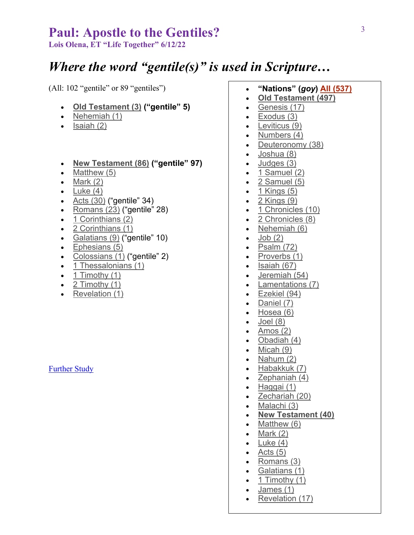**Lois Olena, ET "Life Together" 6/12/22**

# *Where the word "gentile(s)" is used in Scripture…*

(All: 102 "gentile" or 89 "gentiles")

- **Old Testament (3) ("gentile" 5)**
- Nehemiah (1)
- Isaiah (2)
- **New Testament (86) ("gentile" 97)**
- Matthew (5)
- $\bullet$  Mark  $(2)$
- Luke  $(4)$
- Acts (30) ("gentile" 34)
- Romans (23) ("gentile" 28)
- 1 Corinthians (2)
- 2 Corinthians (1)
- Galatians (9) ("gentile" 10)
- Ephesians (5)
- Colossians (1) ("gentile" 2)
- 1 Thessalonians (1)
- $\bullet$  1 Timothy (1)
- 2 Timothy (1)
- Revelation (1)

### Further Study

- **"Nations" (***goy***) All (537)**
- **Old Testament (497)**
- Genesis (17)
- Exodus (3)
- Leviticus (9)
- Numbers (4)
- Deuteronomy (38)
- Joshua (8)
- Judges (3)
- $\bullet$  1 Samuel (2)
- 2 Samuel (5)
- 1 Kings (5)
- 2 Kings (9)
- 1 Chronicles (10)
- 2 Chronicles (8)
- Nehemiah (6)
- $\bullet$  Job  $(2)$
- $\bullet$  Psalm (72)
- Proverbs (1)
- Isaiah (67)
- Jeremiah (54)
- Lamentations (7)
- Ezekiel (94)
- Daniel (7)
- Hosea (6)
- $\bullet$  Joel  $(8)$
- Amos  $(2)$
- Obadiah (4)
- Micah (9)
- Nahum  $(2)$
- Habakkuk (7)
- Zephaniah (4)
- Haggai (1)
- Zechariah (20)
- Malachi (3)
- **New Testament (40)**
- Matthew (6)
- Mark  $(2)$
- $\bullet$  Luke  $(4)$
- Acts  $(5)$
- Romans (3)
- Galatians (1)
- $\bullet$  1 Timothy (1)
- James (1)
- Revelation (17)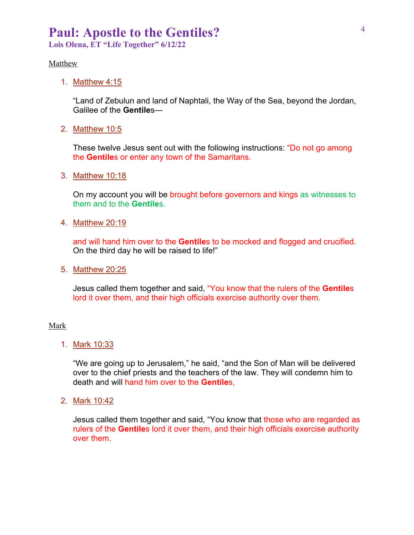**Lois Olena, ET "Life Together" 6/12/22**

#### **Matthew**

1. Matthew 4:15

"Land of Zebulun and land of Naphtali, the Way of the Sea, beyond the Jordan, Galilee of the **Gentile**s—

2. Matthew 10:5

These twelve Jesus sent out with the following instructions: "Do not go among the **Gentile**s or enter any town of the Samaritans.

3. Matthew 10:18

On my account you will be brought before governors and kings as witnesses to them and to the **Gentile**s.

4. Matthew 20:19

and will hand him over to the **Gentile**s to be mocked and flogged and crucified. On the third day he will be raised to life!"

5. Matthew 20:25

Jesus called them together and said, "You know that the rulers of the **Gentile**s lord it over them, and their high officials exercise authority over them.

#### Mark

1. Mark 10:33

"We are going up to Jerusalem," he said, "and the Son of Man will be delivered over to the chief priests and the teachers of the law. They will condemn him to death and will hand him over to the **Gentile**s,

2. Mark 10:42

Jesus called them together and said, "You know that those who are regarded as rulers of the **Gentile**s lord it over them, and their high officials exercise authority over them.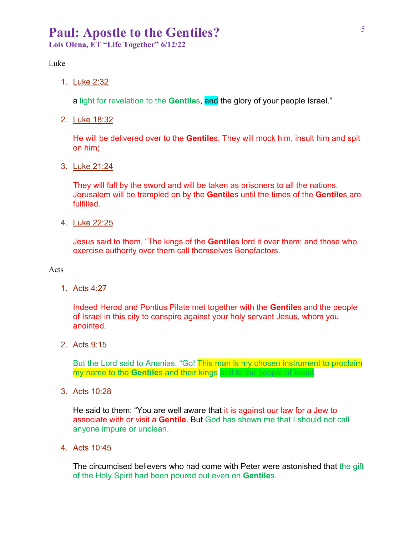**Lois Olena, ET "Life Together" 6/12/22**

#### Luke

1. Luke 2:32

a light for revelation to the **Gentile**s, and the glory of your people Israel."

2. Luke 18:32

He will be delivered over to the **Gentile**s. They will mock him, insult him and spit on him;

3. Luke 21:24

They will fall by the sword and will be taken as prisoners to all the nations. Jerusalem will be trampled on by the **Gentile**s until the times of the **Gentile**s are fulfilled.

4. Luke 22:25

Jesus said to them, "The kings of the **Gentile**s lord it over them; and those who exercise authority over them call themselves Benefactors.

#### Acts

1. Acts 4:27

Indeed Herod and Pontius Pilate met together with the **Gentile**s and the people of Israel in this city to conspire against your holy servant Jesus, whom you anointed.

2. Acts 9:15

But the Lord said to Ananias, "Go! This man is my chosen instrument to proclaim my name to the **Gentile**s and their kings and to the people of Israel.

3. Acts 10:28

He said to them: "You are well aware that it is against our law for a Jew to associate with or visit a **Gentile**. But God has shown me that I should not call anyone impure or unclean.

4. Acts 10:45

The circumcised believers who had come with Peter were astonished that the gift of the Holy Spirit had been poured out even on **Gentile**s.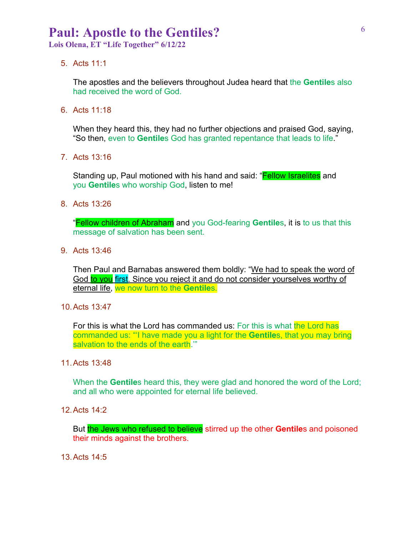**Lois Olena, ET "Life Together" 6/12/22**

5. Acts 11:1

The apostles and the believers throughout Judea heard that the **Gentile**s also had received the word of God.

6. Acts 11:18

When they heard this, they had no further objections and praised God, saying, "So then, even to **Gentile**s God has granted repentance that leads to life."

7. Acts 13:16

Standing up, Paul motioned with his hand and said: "**Fellow Israelites** and you **Gentile**s who worship God, listen to me!

8. Acts 13:26

"Fellow children of Abraham and you God-fearing **Gentile**s, it is to us that this message of salvation has been sent.

9. Acts 13:46

Then Paul and Barnabas answered them boldly: "We had to speak the word of God to you first. Since you reject it and do not consider yourselves worthy of eternal life, we now turn to the **Gentile**s.

10.Acts 13:47

For this is what the Lord has commanded us: For this is what the Lord has commanded us: "'I have made you a light for the **Gentile**s, that you may bring salvation to the ends of the earth.""

11.Acts 13:48

When the **Gentile**s heard this, they were glad and honored the word of the Lord; and all who were appointed for eternal life believed.

12.Acts 14:2

But the Jews who refused to believe stirred up the other Gentiles and poisoned their minds against the brothers.

13.Acts 14:5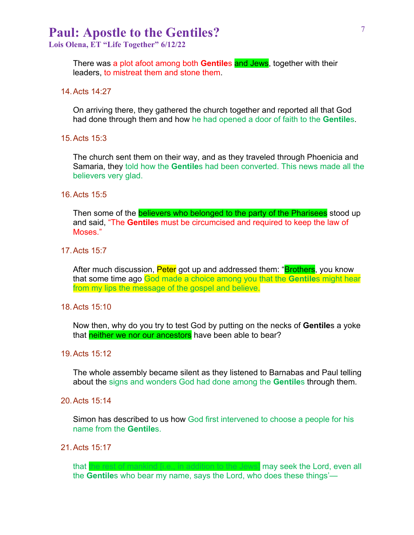**Lois Olena, ET "Life Together" 6/12/22**

There was a plot afoot among both **Gentile**s and Jews, together with their leaders, to mistreat them and stone them.

14.Acts 14:27

On arriving there, they gathered the church together and reported all that God had done through them and how he had opened a door of faith to the **Gentile**s.

15.Acts 15:3

The church sent them on their way, and as they traveled through Phoenicia and Samaria, they told how the **Gentile**s had been converted. This news made all the believers very glad.

#### 16.Acts 15:5

Then some of the **believers who belonged to the party of the Pharisees** stood up and said, "The **Gentile**s must be circumcised and required to keep the law of Moses."

17.Acts 15:7

After much discussion, **Peter** got up and addressed them: "**Brothers**, you know that some time ago God made a choice among you that the **Gentile**s might hear from my lips the message of the gospel and believe.

18.Acts 15:10

Now then, why do you try to test God by putting on the necks of **Gentile**s a yoke that **neither we nor our ancestors** have been able to bear?

19.Acts 15:12

The whole assembly became silent as they listened to Barnabas and Paul telling about the signs and wonders God had done among the **Gentile**s through them.

20.Acts 15:14

Simon has described to us how God first intervened to choose a people for his name from the **Gentile**s.

21.Acts 15:17

that the rest of mankind [i.e., in addition to the Jews] may seek the Lord, even all the **Gentile**s who bear my name, says the Lord, who does these things'—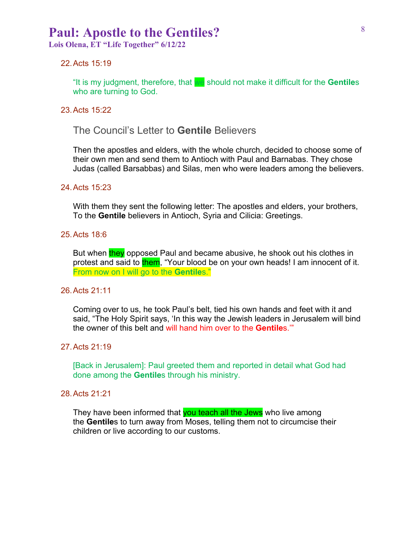**Lois Olena, ET "Life Together" 6/12/22**

#### 22.Acts 15:19

"It is my judgment, therefore, that we should not make it difficult for the **Gentile**s who are turning to God.

#### 23.Acts 15:22

The Council's Letter to **Gentile** Believers

Then the apostles and elders, with the whole church, decided to choose some of their own men and send them to Antioch with Paul and Barnabas. They chose Judas (called Barsabbas) and Silas, men who were leaders among the believers.

#### 24.Acts 15:23

With them they sent the following letter: The apostles and elders, your brothers, To the **Gentile** believers in Antioch, Syria and Cilicia: Greetings.

#### 25.Acts 18:6

But when they opposed Paul and became abusive, he shook out his clothes in protest and said to them, "Your blood be on your own heads! I am innocent of it. From now on I will go to the **Gentile**s."

#### 26.Acts 21:11

Coming over to us, he took Paul's belt, tied his own hands and feet with it and said, "The Holy Spirit says, 'In this way the Jewish leaders in Jerusalem will bind the owner of this belt and will hand him over to the **Gentile**s.'"

### 27.Acts 21:19

[Back in Jerusalem]: Paul greeted them and reported in detail what God had done among the **Gentile**s through his ministry.

#### 28.Acts 21:21

They have been informed that you teach all the Jews who live among the **Gentile**s to turn away from Moses, telling them not to circumcise their children or live according to our customs.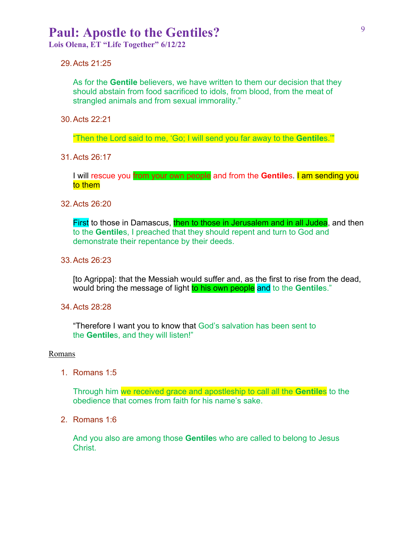**Lois Olena, ET "Life Together" 6/12/22**

### 29.Acts 21:25

As for the **Gentile** believers, we have written to them our decision that they should abstain from food sacrificed to idols, from blood, from the meat of strangled animals and from sexual immorality."

30.Acts 22:21

"Then the Lord said to me, 'Go; I will send you far away to the **Gentile**s.'"

31.Acts 26:17

I will rescue you from your own people and from the **Gentile**s. I am sending you to them

#### 32.Acts 26:20

First to those in Damascus, then to those in Jerusalem and in all Judea, and then to the **Gentile**s, I preached that they should repent and turn to God and demonstrate their repentance by their deeds.

33.Acts 26:23

[to Agrippa]: that the Messiah would suffer and, as the first to rise from the dead, would bring the message of light to his own people and to the Gentiles."

34.Acts 28:28

"Therefore I want you to know that God's salvation has been sent to the **Gentile**s, and they will listen!"

#### Romans

1. Romans 1:5

Through him we received grace and apostleship to call all the **Gentile**s to the obedience that comes from faith for his name's sake.

2. Romans 1:6

And you also are among those **Gentile**s who are called to belong to Jesus Christ.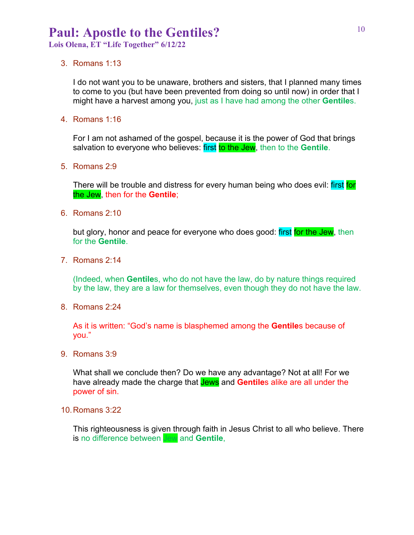**Lois Olena, ET "Life Together" 6/12/22**

#### 3. Romans 1:13

I do not want you to be unaware, brothers and sisters, that I planned many times to come to you (but have been prevented from doing so until now) in order that I might have a harvest among you, just as I have had among the other **Gentile**s.

4. Romans 1:16

For I am not ashamed of the gospel, because it is the power of God that brings salvation to everyone who believes: first to the Jew, then to the **Gentile**.

5. Romans 2:9

There will be trouble and distress for every human being who does evil: first for the Jew, then for the **Gentile**;

6. Romans 2:10

but glory, honor and peace for everyone who does good: first for the Jew, then for the **Gentile**.

7. Romans 2:14

(Indeed, when **Gentile**s, who do not have the law, do by nature things required by the law, they are a law for themselves, even though they do not have the law.

8. Romans 2:24

As it is written: "God's name is blasphemed among the **Gentile**s because of you."

9. Romans 3:9

What shall we conclude then? Do we have any advantage? Not at all! For we have already made the charge that Jews and **Gentile**s alike are all under the power of sin.

10.Romans 3:22

This righteousness is given through faith in Jesus Christ to all who believe. There is no difference between Jew and **Gentile**,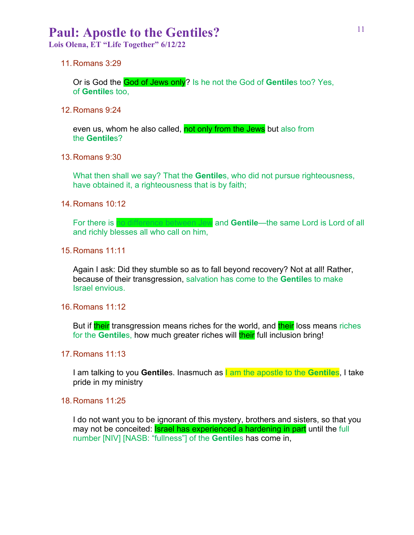**Lois Olena, ET "Life Together" 6/12/22**

11.Romans 3:29

Or is God the God of Jews only? Is he not the God of **Gentile**s too? Yes, of **Gentile**s too,

12.Romans 9:24

even us, whom he also called, not only from the Jews but also from the **Gentile**s?

13.Romans 9:30

What then shall we say? That the **Gentile**s, who did not pursue righteousness, have obtained it, a righteousness that is by faith;

14.Romans 10:12

For there is no difference between Jew and Gentile—the same Lord is Lord of all and richly blesses all who call on him,

15.Romans 11:11

Again I ask: Did they stumble so as to fall beyond recovery? Not at all! Rather, because of their transgression, salvation has come to the **Gentile**s to make Israel envious.

16.Romans 11:12

But if their transgression means riches for the world, and their loss means riches for the **Gentile**s, how much greater riches will **their** full inclusion bring!

17.Romans 11:13

I am talking to you **Gentile**s. Inasmuch as I am the apostle to the **Gentile**s, I take pride in my ministry

18.Romans 11:25

I do not want you to be ignorant of this mystery, brothers and sisters, so that you may not be conceited: **Israel has experienced a hardening in part** until the full number [NIV] [NASB: "fullness"] of the **Gentile**s has come in,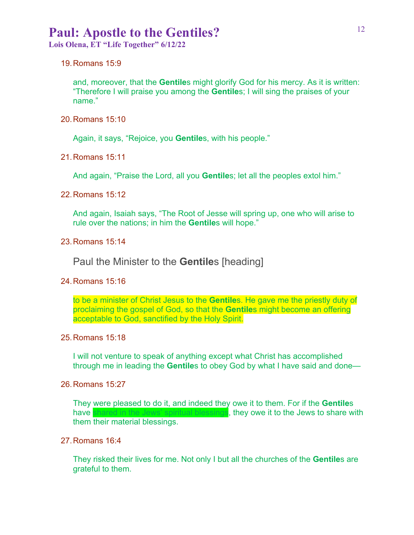**Lois Olena, ET "Life Together" 6/12/22**

19.Romans 15:9

and, moreover, that the **Gentile**s might glorify God for his mercy. As it is written: "Therefore I will praise you among the **Gentile**s; I will sing the praises of your name."

20.Romans 15:10

Again, it says, "Rejoice, you **Gentile**s, with his people."

21.Romans 15:11

And again, "Praise the Lord, all you **Gentile**s; let all the peoples extol him."

22.Romans 15:12

And again, Isaiah says, "The Root of Jesse will spring up, one who will arise to rule over the nations; in him the **Gentile**s will hope."

23.Romans 15:14

Paul the Minister to the **Gentile**s [heading]

24.Romans 15:16

to be a minister of Christ Jesus to the **Gentile**s. He gave me the priestly duty of proclaiming the gospel of God, so that the **Gentile**s might become an offering acceptable to God, sanctified by the Holy Spirit.

25.Romans 15:18

I will not venture to speak of anything except what Christ has accomplished through me in leading the **Gentile**s to obey God by what I have said and done—

26.Romans 15:27

They were pleased to do it, and indeed they owe it to them. For if the **Gentile**s have shared in the Jews' spiritual blessings, they owe it to the Jews to share with them their material blessings.

27.Romans 16:4

They risked their lives for me. Not only I but all the churches of the **Gentile**s are grateful to them.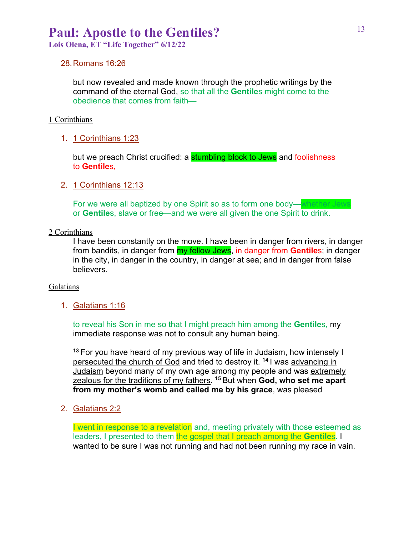**Lois Olena, ET "Life Together" 6/12/22**

#### 28.Romans 16:26

but now revealed and made known through the prophetic writings by the command of the eternal God, so that all the **Gentile**s might come to the obedience that comes from faith—

#### 1 Corinthians

1. 1 Corinthians 1:23

but we preach Christ crucified: a **stumbling block to Jews** and foolishness to **Gentile**s,

2. 1 Corinthians 12:13

For we were all baptized by one Spirit so as to form one body—whether Jew or **Gentile**s, slave or free—and we were all given the one Spirit to drink.

### 2 Corinthians

I have been constantly on the move. I have been in danger from rivers, in danger from bandits, in danger from my fellow Jews, in danger from **Gentile**s; in danger in the city, in danger in the country, in danger at sea; and in danger from false believers.

#### Galatians

1. Galatians 1:16

to reveal his Son in me so that I might preach him among the **Gentile**s, my immediate response was not to consult any human being.

**<sup>13</sup>** For you have heard of my previous way of life in Judaism, how intensely I persecuted the church of God and tried to destroy it. **<sup>14</sup>** I was advancing in Judaism beyond many of my own age among my people and was extremely zealous for the traditions of my fathers. **<sup>15</sup>** But when **God, who set me apart from my mother's womb and called me by his grace**, was pleased

2. Galatians 2:2

I went in response to a revelation and, meeting privately with those esteemed as leaders, I presented to them the gospel that I preach among the **Gentiles**. I wanted to be sure I was not running and had not been running my race in vain.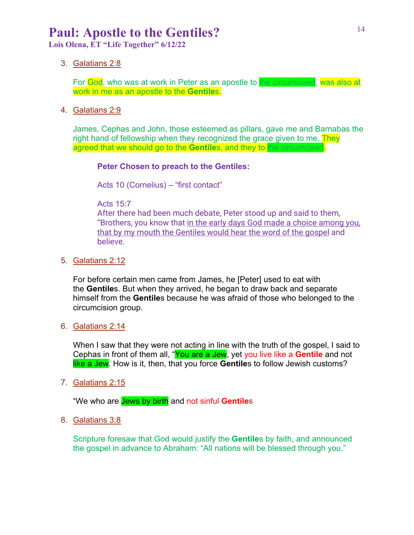**Lois Olena, ET "Life Together" 6/12/22**

3. Galatians 2:8

For God, who was at work in Peter as an apostle to the circumcised, was also at work in me as an apostle to the **Gentile**s.

4. Galatians 2:9

James, Cephas and John, those esteemed as pillars, gave me and Barnabas the right hand of fellowship when they recognized the grace given to me. They agreed that we should go to the Gentiles, and they to the circumcised.

### **Peter Chosen to preach to the Gentiles:**

Acts 10 (Cornelius) – "first contact"

Acts 15:7

After there had been much debate, Peter stood up and said to them, "Brothers, you know that in the early days God made a choice among you, that by my mouth the Gentiles would hear the word of the gospel and believe.

5. Galatians 2:12

For before certain men came from James, he [Peter] used to eat with the **Gentile**s. But when they arrived, he began to draw back and separate himself from the **Gentile**s because he was afraid of those who belonged to the circumcision group.

6. Galatians 2:14

When I saw that they were not acting in line with the truth of the gospel, I said to Cephas in front of them all, "You are a Jew, yet you live like a **Gentile** and not like a Jew. How is it, then, that you force **Gentile**s to follow Jewish customs?

7. Galatians 2:15

"We who are Jews by birth and not sinful **Gentile**s

8. Galatians 3:8

Scripture foresaw that God would justify the **Gentile**s by faith, and announced the gospel in advance to Abraham: "All nations will be blessed through you."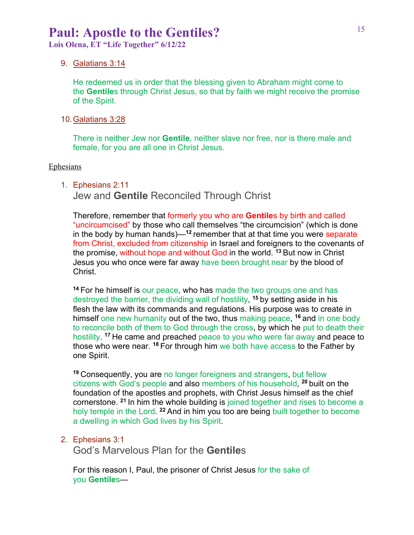**Lois Olena, ET "Life Together" 6/12/22**

#### 9. Galatians 3:14

He redeemed us in order that the blessing given to Abraham might come to the **Gentile**s through Christ Jesus, so that by faith we might receive the promise of the Spirit.

#### 10.Galatians 3:28

There is neither Jew nor **Gentile**, neither slave nor free, nor is there male and female, for you are all one in Christ Jesus.

#### **Ephesians**

#### 1. Ephesians 2:11

Jew and **Gentile** Reconciled Through Christ

Therefore, remember that formerly you who are **Gentile**s by birth and called "uncircumcised" by those who call themselves "the circumcision" (which is done in the body by human hands)—**<sup>12</sup>** remember that at that time you were separate from Christ, excluded from citizenship in Israel and foreigners to the covenants of the promise, without hope and without God in the world. **<sup>13</sup>** But now in Christ Jesus you who once were far away have been brought near by the blood of Christ.

**<sup>14</sup>** For he himself is our peace, who has made the two groups one and has destroyed the barrier, the dividing wall of hostility, **<sup>15</sup>** by setting aside in his flesh the law with its commands and regulations. His purpose was to create in himself one new humanity out of the two, thus making peace, **<sup>16</sup>** and in one body to reconcile both of them to God through the cross, by which he put to death their hostility. **<sup>17</sup>** He came and preached peace to you who were far away and peace to those who were near. **<sup>18</sup>** For through him we both have access to the Father by one Spirit.

**<sup>19</sup>** Consequently, you are no longer foreigners and strangers, but fellow citizens with God's people and also members of his household, **<sup>20</sup>** built on the foundation of the apostles and prophets, with Christ Jesus himself as the chief cornerstone. **<sup>21</sup>** In him the whole building is joined together and rises to become a holy temple in the Lord. **<sup>22</sup>** And in him you too are being built together to become a dwelling in which God lives by his Spirit.

### 2. Ephesians 3:1

God's Marvelous Plan for the **Gentile**s

For this reason I, Paul, the prisoner of Christ Jesus for the sake of you **Gentile**s—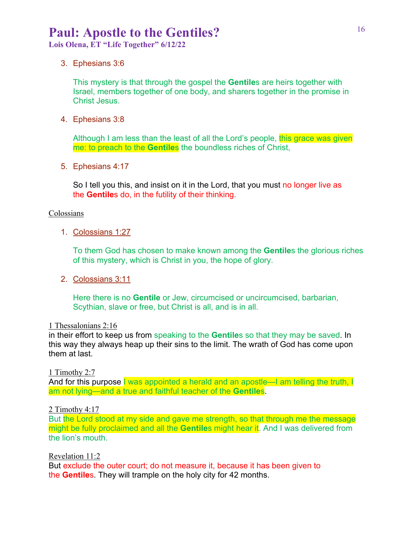**Lois Olena, ET "Life Together" 6/12/22**

3. Ephesians 3:6

This mystery is that through the gospel the **Gentile**s are heirs together with Israel, members together of one body, and sharers together in the promise in Christ Jesus.

4. Ephesians 3:8

Although I am less than the least of all the Lord's people, this grace was given me: to preach to the **Gentile**s the boundless riches of Christ,

5. Ephesians 4:17

So I tell you this, and insist on it in the Lord, that you must no longer live as the **Gentile**s do, in the futility of their thinking.

#### Colossians

1. Colossians 1:27

To them God has chosen to make known among the **Gentile**s the glorious riches of this mystery, which is Christ in you, the hope of glory.

2. Colossians 3:11

Here there is no **Gentile** or Jew, circumcised or uncircumcised, barbarian, Scythian, slave or free, but Christ is all, and is in all.

#### 1 Thessalonians 2:16

in their effort to keep us from speaking to the **Gentile**s so that they may be saved. In this way they always heap up their sins to the limit. The wrath of God has come upon them at last.

1 Timothy 2:7

And for this purpose I was appointed a herald and an apostle—I am telling the truth, I am not lying—and a true and faithful teacher of the **Gentile**s.

### 2 Timothy 4:17

But the Lord stood at my side and gave me strength, so that through me the message might be fully proclaimed and all the **Gentile**s might hear it. And I was delivered from the lion's mouth.

Revelation 11:2

But exclude the outer court; do not measure it, because it has been given to the **Gentile**s. They will trample on the holy city for 42 months.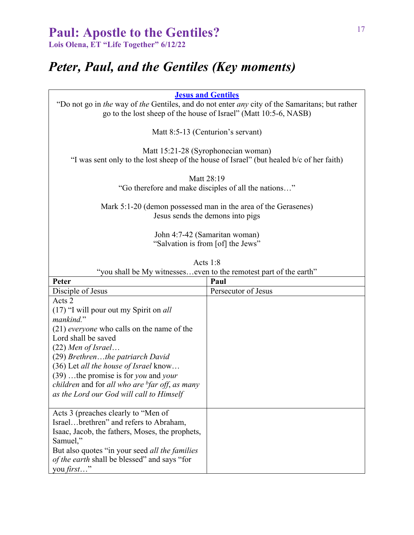**Lois Olena, ET "Life Together" 6/12/22**

# *Peter, Paul, and the Gentiles (Key moments)*

**Jesus and Gentiles**

"Do not go in *the* way of *the* Gentiles, and do not enter *any* city of the Samaritans; but rather go to the lost sheep of the house of Israel" (Matt 10:5-6, NASB)

Matt 8:5-13 (Centurion's servant)

Matt 15:21-28 (Syrophonecian woman) "I was sent only to the lost sheep of the house of Israel" (but healed b/c of her faith)

Matt 28:19

"Go therefore and make disciples of all the nations…"

Mark 5:1-20 (demon possessed man in the area of the Gerasenes) Jesus sends the demons into pigs

> John 4:7-42 (Samaritan woman) "Salvation is from [of] the Jews"

| Acts 1:8                                                                                                                                                                                                                                                                                                                                                                                                             |                     |  |
|----------------------------------------------------------------------------------------------------------------------------------------------------------------------------------------------------------------------------------------------------------------------------------------------------------------------------------------------------------------------------------------------------------------------|---------------------|--|
| "you shall be My witnesseseven to the remotest part of the earth"                                                                                                                                                                                                                                                                                                                                                    |                     |  |
| Peter                                                                                                                                                                                                                                                                                                                                                                                                                | Paul                |  |
| Disciple of Jesus                                                                                                                                                                                                                                                                                                                                                                                                    | Persecutor of Jesus |  |
| Acts 2<br>$(17)$ "I will pour out my Spirit on <i>all</i><br>mankind."<br>(21) <i>everyone</i> who calls on the name of the<br>Lord shall be saved<br>$(22)$ Men of Israel<br>(29) Brethrenthe patriarch David<br>$(36)$ Let all the house of Israel know<br>$(39)$ the promise is for you and your<br><i>children</i> and for all who are <sup>b</sup> far off, as many<br>as the Lord our God will call to Himself |                     |  |
| Acts 3 (preaches clearly to "Men of<br>Israelbrethren" and refers to Abraham,<br>Isaac, Jacob, the fathers, Moses, the prophets,<br>Samuel,"<br>But also quotes "in your seed all the families"<br><i>of the earth shall be blessed"</i> and says "for<br>you first"                                                                                                                                                 |                     |  |

Acts 1:8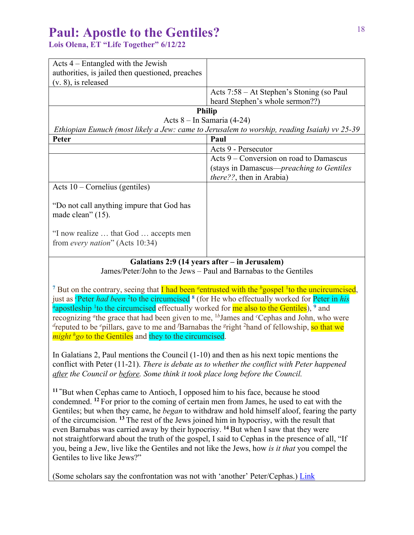**Lois Olena, ET "Life Together" 6/12/22**

| Acts $4$ – Entangled with the Jewish                                                        |                                           |  |  |
|---------------------------------------------------------------------------------------------|-------------------------------------------|--|--|
| authorities, is jailed then questioned, preaches                                            |                                           |  |  |
| $(v. 8)$ , is released                                                                      |                                           |  |  |
|                                                                                             | Acts 7:58 – At Stephen's Stoning (so Paul |  |  |
|                                                                                             | heard Stephen's whole sermon??)           |  |  |
| <b>Philip</b>                                                                               |                                           |  |  |
|                                                                                             | Acts $8 - In Samaria (4-24)$              |  |  |
| Ethiopian Eunuch (most likely a Jew: came to Jerusalem to worship, reading Isaiah) vv 25-39 |                                           |  |  |
| Peter                                                                                       | Paul                                      |  |  |
|                                                                                             | Acts 9 - Persecutor                       |  |  |
|                                                                                             | Acts 9 – Conversion on road to Damascus   |  |  |
|                                                                                             | (stays in Damascus—preaching to Gentiles  |  |  |
|                                                                                             | <i>there??</i> , then in Arabia)          |  |  |
| Acts $10$ – Cornelius (gentiles)                                                            |                                           |  |  |
| "Do not call anything impure that God has<br>made clean" $(15)$ .                           |                                           |  |  |
| "I now realize  that God  accepts men<br>from every nation" (Acts 10:34)                    |                                           |  |  |
|                                                                                             |                                           |  |  |

### **Galatians 2:9 (14 years after – in Jerusalem)**

James/Peter/John to the Jews – Paul and Barnabas to the Gentiles

<sup>7</sup> But on the contrary, seeing that **I** had been *a* entrusted with the *b*<sub>gospel</sub> <sup>1</sup> to the uncircumcised, just as <sup>c</sup>Peter *had been* <sup>2</sup> to the circumcised <sup>8</sup> (for He who effectually worked for Peter in *his*  $a_{\text{anostles}}$ ) <sup>9</sup> and apostleship <sup>1</sup> to the circumcised effectually worked for me also to the Gentiles), <sup>9</sup> and recognizing <sup>a</sup>the grace that had been given to me, <sup>1b</sup>James and <sup>c</sup>Cephas and John, who were d *d* reputed to be <sup>e</sup>pillars, gave to me and *f* Barnabas the <sup>g</sup>right <sup>2</sup> hand of fellowship, so that we *might <sup>h</sup>go* to the Gentiles and they to the circumcised.

In Galatians 2, Paul mentions the Council (1-10) and then as his next topic mentions the conflict with Peter (11-21). *There is debate as to whether the conflict with Peter happened after the Council or before. Some think it took place long before the Council.*

**11 "** But when Cephas came to Antioch, I opposed him to his face, because he stood condemned. **<sup>12</sup>** For prior to the coming of certain men from James, he used to eat with the Gentiles; but when they came, he *began* to withdraw and hold himself aloof, fearing the party of the circumcision. **<sup>13</sup>** The rest of the Jews joined him in hypocrisy, with the result that even Barnabas was carried away by their hypocrisy. **<sup>14</sup>** But when I saw that they were not straightforward about the truth of the gospel, I said to Cephas in the presence of all, "If you, being a Jew, live like the Gentiles and not like the Jews, how *is it that* you compel the Gentiles to live like Jews?"

(Some scholars say the confrontation was not with 'another' Peter/Cephas.) Link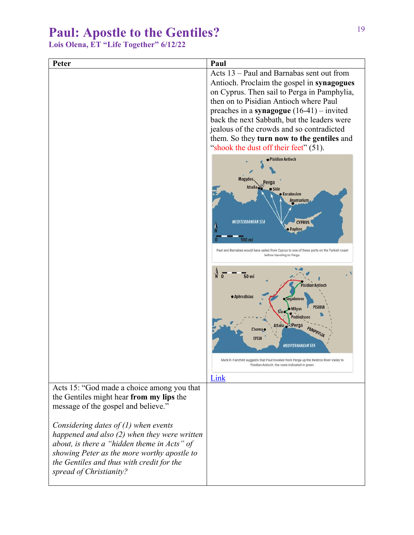**Lois Olena, ET "Life Together" 6/12/22**

| Peter                                                                                                                                                                                                                                                                                                                   | Paul                                                                                                                                                                                                                                                                                                                                                                                                               |
|-------------------------------------------------------------------------------------------------------------------------------------------------------------------------------------------------------------------------------------------------------------------------------------------------------------------------|--------------------------------------------------------------------------------------------------------------------------------------------------------------------------------------------------------------------------------------------------------------------------------------------------------------------------------------------------------------------------------------------------------------------|
|                                                                                                                                                                                                                                                                                                                         | Acts 13 – Paul and Barnabas sent out from<br>Antioch. Proclaim the gospel in synagogues<br>on Cyprus. Then sail to Perga in Pamphylia,<br>then on to Pisidian Antioch where Paul<br>preaches in a synagogue $(16-41)$ – invited<br>back the next Sabbath, but the leaders were<br>jealous of the crowds and so contradicted<br>them. So they turn now to the gentiles and<br>"shook the dust off their feet" (51). |
|                                                                                                                                                                                                                                                                                                                         | · Pisidian Antioch<br>Magydos<br><b>Attalia</b><br>Side<br><b>Korakesion</b><br><b>Anamurium</b><br><b>MEDITERRANEAN SEA</b><br><b>CYPRUS</b><br><b>Paphos</b><br>$100$ mi<br>Paul and Barnabas would have sailed from Cyprus to one of these ports on the Turkish coast<br>before traveling to Perga.                                                                                                             |
|                                                                                                                                                                                                                                                                                                                         | <b>50 mi</b><br>Pisidian Antioch<br>· Aphrodisias<br>Sagalassos<br><b>PISIDIA</b><br>Milyas<br>Pednelissos<br>Attalia Perga<br>PAMPHYLIA<br>Choma o<br><b>LYCIA</b><br><b>MEDITERRANEAN SEA</b><br>Mark R. Fairchild suggests that Paul traveled from Perga up the Kestros River Valley to<br>Pisidian Antioch, the route indicated in green.                                                                      |
| Acts 15: "God made a choice among you that<br>the Gentiles might hear from my lips the<br>message of the gospel and believe."<br>Considering dates of $(1)$ when events<br>happened and also $(2)$ when they were written<br>about, is there a "hidden theme in Acts" of<br>showing Peter as the more worthy apostle to | Link                                                                                                                                                                                                                                                                                                                                                                                                               |
| the Gentiles and thus with credit for the<br>spread of Christianity?                                                                                                                                                                                                                                                    |                                                                                                                                                                                                                                                                                                                                                                                                                    |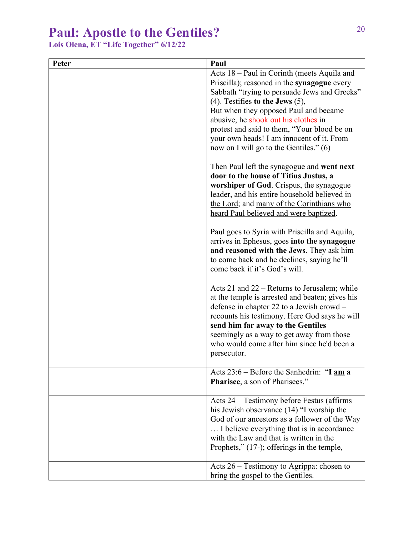**Lois Olena, ET "Life Together" 6/12/22**

| Peter | Paul                                                                                                                                                                                                                                                                                                                                                                                                              |
|-------|-------------------------------------------------------------------------------------------------------------------------------------------------------------------------------------------------------------------------------------------------------------------------------------------------------------------------------------------------------------------------------------------------------------------|
|       | Acts 18 – Paul in Corinth (meets Aquila and<br>Priscilla); reasoned in the <b>synagogue</b> every<br>Sabbath "trying to persuade Jews and Greeks"<br>$(4)$ . Testifies to the Jews $(5)$ ,<br>But when they opposed Paul and became<br>abusive, he shook out his clothes in<br>protest and said to them, "Your blood be on<br>your own heads! I am innocent of it. From<br>now on I will go to the Gentiles." (6) |
|       | Then Paul <u>left the synagogue</u> and went next<br>door to the house of Titius Justus, a<br>worshiper of God. Crispus, the synagogue<br>leader, and his entire household believed in<br>the Lord; and many of the Corinthians who<br>heard Paul believed and were baptized.                                                                                                                                     |
|       | Paul goes to Syria with Priscilla and Aquila,<br>arrives in Ephesus, goes into the synagogue<br>and reasoned with the Jews. They ask him<br>to come back and he declines, saying he'll<br>come back if it's God's will.                                                                                                                                                                                           |
|       | Acts 21 and $22$ – Returns to Jerusalem; while<br>at the temple is arrested and beaten; gives his<br>defense in chapter 22 to a Jewish crowd –<br>recounts his testimony. Here God says he will<br>send him far away to the Gentiles<br>seemingly as a way to get away from those<br>who would come after him since he'd been a<br>persecutor.                                                                    |
|       | Acts 23:6 – Before the Sanhedrin: "I am a<br>Pharisee, a son of Pharisees,"                                                                                                                                                                                                                                                                                                                                       |
|       | Acts 24 – Testimony before Festus (affirms<br>his Jewish observance (14) "I worship the<br>God of our ancestors as a follower of the Way<br>I believe everything that is in accordance<br>with the Law and that is written in the<br>Prophets," $(17-)$ ; offerings in the temple,                                                                                                                                |
|       | Acts $26$ – Testimony to Agrippa: chosen to<br>bring the gospel to the Gentiles.                                                                                                                                                                                                                                                                                                                                  |